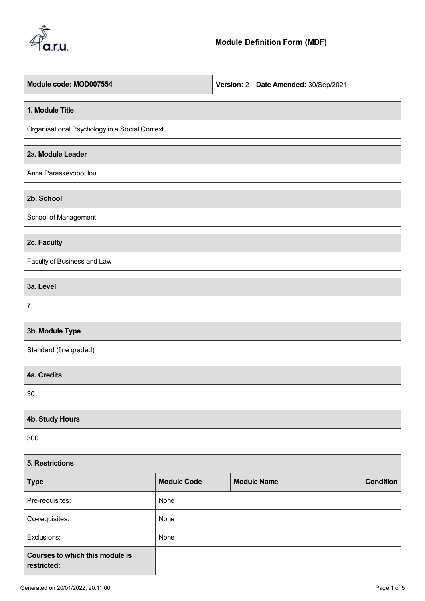

**Module code: MOD007554 Version:** 2 **Date Amended:** 30/Sep/2021

#### **1. Module Title**

Organisational Psychology in a Social Context

## **2a. Module Leader**

Anna Paraskevopoulou

**2b. School**

School of Management

## **2c. Faculty**

Faculty of Business and Law

**3a. Level** 7

# **3b. Module Type**

Standard (fine graded)

| $30^{\circ}$ |  |
|--------------|--|

| 4b. Study Hours |  |
|-----------------|--|
| 300             |  |

| 5. Restrictions                                |                    |                    |                  |  |  |
|------------------------------------------------|--------------------|--------------------|------------------|--|--|
| <b>Type</b>                                    | <b>Module Code</b> | <b>Module Name</b> | <b>Condition</b> |  |  |
| Pre-requisites:                                | None               |                    |                  |  |  |
| Co-requisites:                                 | None               |                    |                  |  |  |
| Exclusions:                                    | None               |                    |                  |  |  |
| Courses to which this module is<br>restricted: |                    |                    |                  |  |  |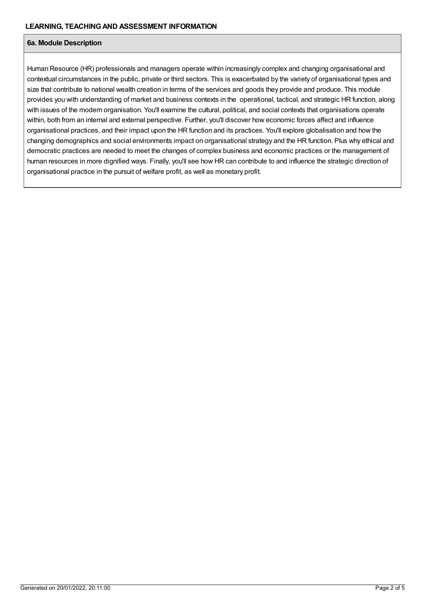#### **6a. Module Description**

Human Resource (HR) professionals and managers operate within increasingly complex and changing organisational and contextual circumstances in the public, private or third sectors. This is exacerbated by the variety of organisational types and size that contribute to national wealth creation in terms of the services and goods they provide and produce. This module provides you with understanding of market and business contexts in the operational, tactical, and strategic HR function, along with issues of the modern organisation. You'll examine the cultural, political, and social contexts that organisations operate within, both from an internal and external perspective. Further, you'll discover how economic forces affect and influence organisational practices, and their impact upon the HR function and its practices. You'll explore globalisation and how the changing demographics and social environments impact on organisational strategy and the HR function. Plus why ethical and democratic practices are needed to meet the changes of complex business and economic practices or the management of human resources in more dignified ways. Finally, you'll see how HR can contribute to and influence the strategic direction of organisational practice in the pursuit of welfare profit, as well as monetary profit.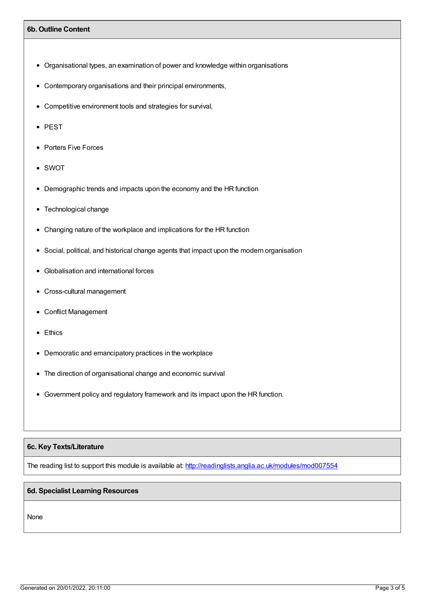#### **6b. Outline Content**

- Organisational types, an examination of power and knowledge within organisations
- Contemporary organisations and their principal environments,
- Competitive environment tools and strategies for survival,
- PEST
- Porters Five Forces
- SWOT
- Demographic trends and impacts upon the economy and the HR function
- Technological change
- Changing nature of the workplace and implications for the HR function
- Social, political, and historical change agents that impact upon the modern organisation
- Globalisation and international forces
- Cross-cultural management
- Conflict Management
- Ethics
- Democratic and emancipatory practices in the workplace
- The direction of organisational change and economic survival
- Government policy and regulatory framework and its impact upon the HR function.

### **6c. Key Texts/Literature**

The reading list to support this module is available at: <http://readinglists.anglia.ac.uk/modules/mod007554>

#### **6d. Specialist Learning Resources**

None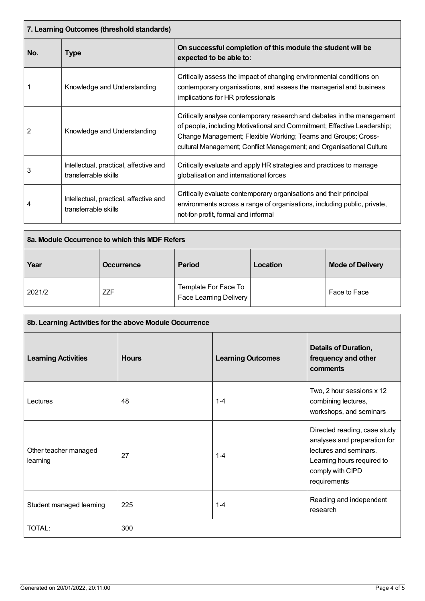| 7. Learning Outcomes (threshold standards) |                                                                |                                                                                                                                                                                                                                                                                            |  |
|--------------------------------------------|----------------------------------------------------------------|--------------------------------------------------------------------------------------------------------------------------------------------------------------------------------------------------------------------------------------------------------------------------------------------|--|
| No.                                        | <b>Type</b>                                                    | On successful completion of this module the student will be<br>expected to be able to:                                                                                                                                                                                                     |  |
|                                            | Knowledge and Understanding                                    | Critically assess the impact of changing environmental conditions on<br>contemporary organisations, and assess the managerial and business<br>implications for HR professionals                                                                                                            |  |
| 2                                          | Knowledge and Understanding                                    | Critically analyse contemporary research and debates in the management<br>of people, including Motivational and Commitment; Effective Leadership;<br>Change Management; Flexible Working; Teams and Groups; Cross-<br>cultural Management; Conflict Management; and Organisational Culture |  |
| 3                                          | Intellectual, practical, affective and<br>transferrable skills | Critically evaluate and apply HR strategies and practices to manage<br>globalisation and international forces                                                                                                                                                                              |  |
| 4                                          | Intellectual, practical, affective and<br>transferrable skills | Critically evaluate contemporary organisations and their principal<br>environments across a range of organisations, including public, private,<br>not-for-profit, formal and informal                                                                                                      |  |

| 8a. Module Occurrence to which this MDF Refers |                   |                                                |  |                         |
|------------------------------------------------|-------------------|------------------------------------------------|--|-------------------------|
| Year                                           | <b>Occurrence</b> | <b>Period</b><br>Location                      |  | <b>Mode of Delivery</b> |
| 2021/2                                         | <b>ZZF</b>        | Template For Face To<br>Face Learning Delivery |  | Face to Face            |

| 8b. Learning Activities for the above Module Occurrence |              |                          |                                                                                                                                                          |  |
|---------------------------------------------------------|--------------|--------------------------|----------------------------------------------------------------------------------------------------------------------------------------------------------|--|
| <b>Learning Activities</b>                              | <b>Hours</b> | <b>Learning Outcomes</b> | <b>Details of Duration,</b><br>frequency and other<br>comments                                                                                           |  |
| Lectures                                                | 48           | $1 - 4$                  | Two, 2 hour sessions x 12<br>combining lectures,<br>workshops, and seminars                                                                              |  |
| Other teacher managed<br>learning                       | 27           | $1 - 4$                  | Directed reading, case study<br>analyses and preparation for<br>lectures and seminars.<br>Learning hours required to<br>comply with CIPD<br>requirements |  |
| Student managed learning                                | 225          | $1 - 4$                  | Reading and independent<br>research                                                                                                                      |  |
| TOTAL:                                                  | 300          |                          |                                                                                                                                                          |  |